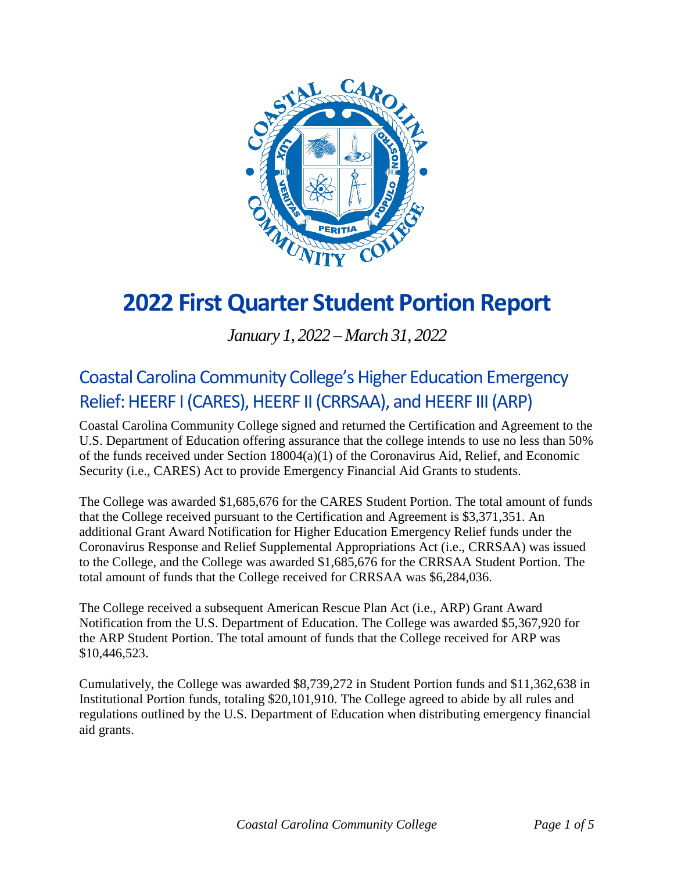

# **2022 FirstQuarter Student Portion Report**

*January 1, 2022 – March 31, 2022*

### Coastal Carolina Community College's Higher Education Emergency Relief: HEERF I (CARES), HEERF II (CRRSAA), and HEERF III (ARP)

Coastal Carolina Community College signed and returned the Certification and Agreement to the U.S. Department of Education offering assurance that the college intends to use no less than 50% of the funds received under Section 18004(a)(1) of the Coronavirus Aid, Relief, and Economic Security (i.e., CARES) Act to provide Emergency Financial Aid Grants to students.

The College was awarded \$1,685,676 for the CARES Student Portion. The total amount of funds that the College received pursuant to the Certification and Agreement is \$3,371,351. An additional Grant Award Notification for Higher Education Emergency Relief funds under the Coronavirus Response and Relief Supplemental Appropriations Act (i.e., CRRSAA) was issued to the College, and the College was awarded \$1,685,676 for the CRRSAA Student Portion. The total amount of funds that the College received for CRRSAA was \$6,284,036.

The College received a subsequent American Rescue Plan Act (i.e., ARP) Grant Award Notification from the U.S. Department of Education. The College was awarded \$5,367,920 for the ARP Student Portion. The total amount of funds that the College received for ARP was \$10,446,523.

Cumulatively, the College was awarded \$8,739,272 in Student Portion funds and \$11,362,638 in Institutional Portion funds, totaling \$20,101,910. The College agreed to abide by all rules and regulations outlined by the U.S. Department of Education when distributing emergency financial aid grants.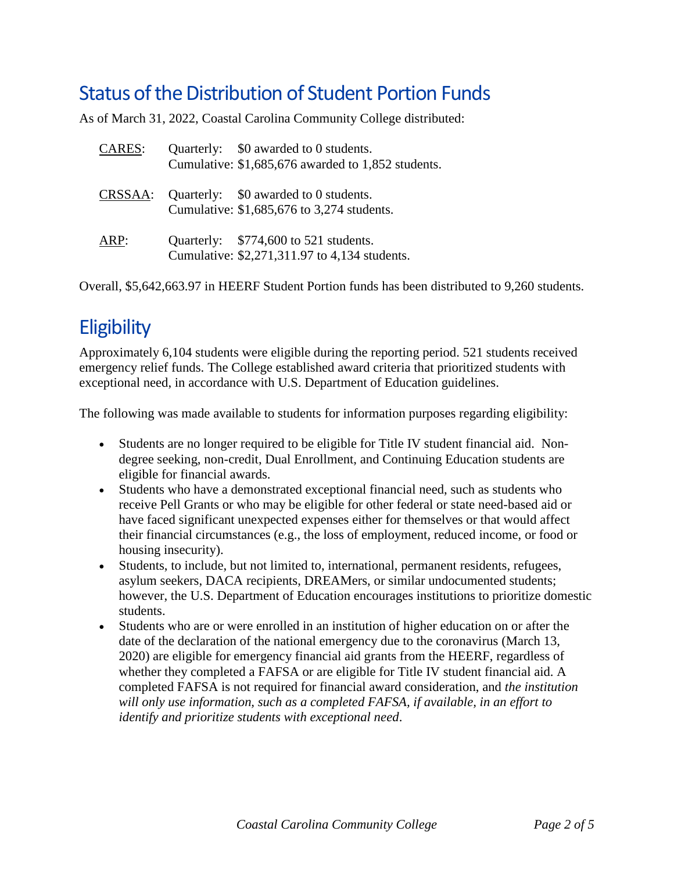### Status of the Distribution of Student Portion Funds

As of March 31, 2022, Coastal Carolina Community College distributed:

| <b>CARES:</b> | Quarterly: \$0 awarded to 0 students.<br>Cumulative: \$1,685,676 awarded to 1,852 students. |
|---------------|---------------------------------------------------------------------------------------------|
| CRSSAA:       | Quarterly: \$0 awarded to 0 students.<br>Cumulative: \$1,685,676 to 3,274 students.         |
| ARP:          | Quarterly: \$774,600 to 521 students.<br>Cumulative: \$2,271,311.97 to 4,134 students.      |

Overall, \$5,642,663.97 in HEERF Student Portion funds has been distributed to 9,260 students.

## **Eligibility**

Approximately 6,104 students were eligible during the reporting period. 521 students received emergency relief funds. The College established award criteria that prioritized students with exceptional need, in accordance with U.S. Department of Education guidelines.

The following was made available to students for information purposes regarding eligibility:

- Students are no longer required to be eligible for Title IV student financial aid. Nondegree seeking, non-credit, Dual Enrollment, and Continuing Education students are eligible for financial awards.
- Students who have a demonstrated exceptional financial need, such as students who receive Pell Grants or who may be eligible for other federal or state need-based aid or have faced significant unexpected expenses either for themselves or that would affect their financial circumstances (e.g., the loss of employment, reduced income, or food or housing insecurity).
- Students, to include, but not limited to, international, permanent residents, refugees, asylum seekers, DACA recipients, DREAMers, or similar undocumented students; however, the U.S. Department of Education encourages institutions to prioritize domestic students.
- Students who are or were enrolled in an institution of higher education on or after the date of the declaration of the national emergency due to the coronavirus (March 13, 2020) are eligible for emergency financial aid grants from the HEERF, regardless of whether they completed a FAFSA or are eligible for Title IV student financial aid. A completed FAFSA is not required for financial award consideration, and *the institution will only use information, such as a completed FAFSA, if available, in an effort to identify and prioritize students with exceptional need*.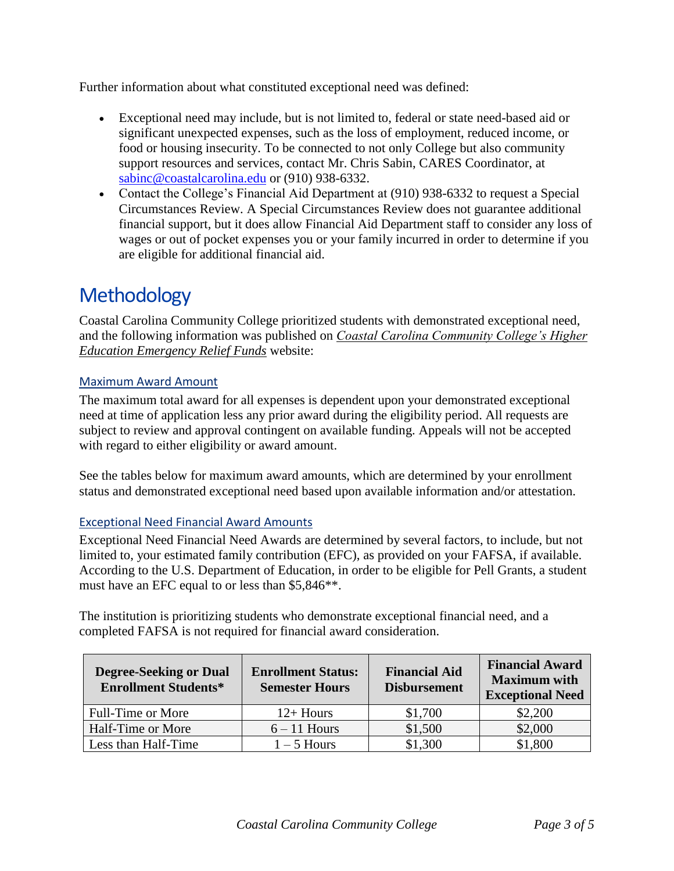Further information about what constituted exceptional need was defined:

- Exceptional need may include, but is not limited to, federal or state need-based aid or significant unexpected expenses, such as the loss of employment, reduced income, or food or housing insecurity. To be connected to not only College but also community support resources and services, contact Mr. Chris Sabin, CARES Coordinator, at [sabinc@coastalcarolina.edu](mailto:sabinc@coastalcarolina.edu) or (910) 938-6332.
- Contact the College's Financial Aid Department at (910) 938-6332 to request a Special Circumstances Review. A Special Circumstances Review does not guarantee additional financial support, but it does allow Financial Aid Department staff to consider any loss of wages or out of pocket expenses you or your family incurred in order to determine if you are eligible for additional financial aid.

### **Methodology**

Coastal Carolina Community College prioritized students with demonstrated exceptional need, and the following information was published on *[Coastal Carolina Community College's Higher](https://www.coastalcarolina.edu/coastal-carolina-community-colleges-higher-education-emergency-relief-funds/)  [Education Emergency Relief Funds](https://www.coastalcarolina.edu/coastal-carolina-community-colleges-higher-education-emergency-relief-funds/)* website:

#### Maximum Award Amount

The maximum total award for all expenses is dependent upon your demonstrated exceptional need at time of application less any prior award during the eligibility period. All requests are subject to review and approval contingent on available funding. Appeals will not be accepted with regard to either eligibility or award amount.

See the tables below for maximum award amounts, which are determined by your enrollment status and demonstrated exceptional need based upon available information and/or attestation.

#### Exceptional Need Financial Award Amounts

Exceptional Need Financial Need Awards are determined by several factors, to include, but not limited to, your estimated family contribution (EFC), as provided on your FAFSA, if available. According to the U.S. Department of Education, in order to be eligible for Pell Grants, a student must have an EFC equal to or less than \$5,846\*\*.

The institution is prioritizing students who demonstrate exceptional financial need, and a completed FAFSA is not required for financial award consideration.

| <b>Degree-Seeking or Dual</b><br><b>Enrollment Students*</b> | <b>Enrollment Status:</b><br><b>Semester Hours</b> | <b>Financial Aid</b><br><b>Disbursement</b> | <b>Financial Award</b><br><b>Maximum</b> with<br><b>Exceptional Need</b> |
|--------------------------------------------------------------|----------------------------------------------------|---------------------------------------------|--------------------------------------------------------------------------|
| Full-Time or More                                            | $12+$ Hours                                        | \$1,700                                     | \$2,200                                                                  |
| Half-Time or More                                            | $6 - 11$ Hours                                     | \$1,500                                     | \$2,000                                                                  |
| Less than Half-Time                                          | $1 - 5$ Hours                                      | \$1,300                                     | \$1,800                                                                  |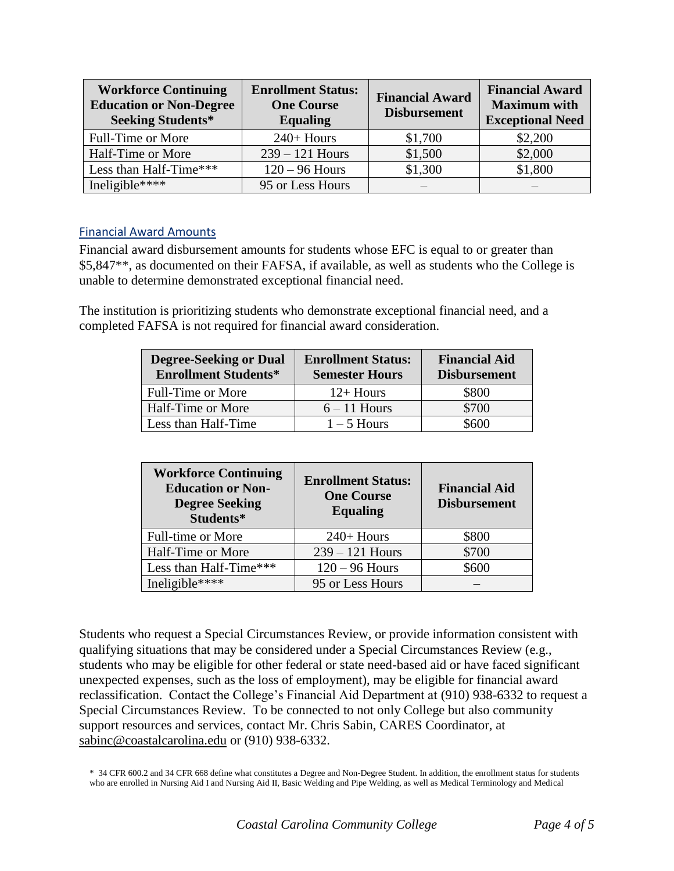| <b>Workforce Continuing</b><br><b>Education or Non-Degree</b><br><b>Seeking Students*</b> | <b>Enrollment Status:</b><br><b>One Course</b><br><b>Equaling</b> | <b>Financial Award</b><br><b>Disbursement</b> | <b>Financial Award</b><br><b>Maximum with</b><br><b>Exceptional Need</b> |
|-------------------------------------------------------------------------------------------|-------------------------------------------------------------------|-----------------------------------------------|--------------------------------------------------------------------------|
| Full-Time or More                                                                         | $240+$ Hours                                                      | \$1,700                                       | \$2,200                                                                  |
| Half-Time or More                                                                         | $239 - 121$ Hours                                                 | \$1,500                                       | \$2,000                                                                  |
| Less than Half-Time***                                                                    | $120 - 96$ Hours                                                  | \$1,300                                       | \$1,800                                                                  |
| Ineligible****                                                                            | 95 or Less Hours                                                  |                                               |                                                                          |

#### Financial Award Amounts

Financial award disbursement amounts for students whose EFC is equal to or greater than \$5,847\*\*, as documented on their FAFSA, if available, as well as students who the College is unable to determine demonstrated exceptional financial need.

The institution is prioritizing students who demonstrate exceptional financial need, and a completed FAFSA is not required for financial award consideration.

| <b>Degree-Seeking or Dual</b><br><b>Enrollment Students*</b> | <b>Enrollment Status:</b><br><b>Semester Hours</b> | <b>Financial Aid</b><br><b>Disbursement</b> |
|--------------------------------------------------------------|----------------------------------------------------|---------------------------------------------|
| Full-Time or More                                            | $12+$ Hours                                        | \$800                                       |
| Half-Time or More                                            | $6 - 11$ Hours                                     | \$700                                       |
| Less than Half-Time                                          | $1-5$ Hours                                        | \$600                                       |

| <b>Workforce Continuing</b><br><b>Education or Non-</b><br><b>Degree Seeking</b><br>Students* | <b>Enrollment Status:</b><br><b>One Course</b><br><b>Equaling</b> | <b>Financial Aid</b><br><b>Disbursement</b> |
|-----------------------------------------------------------------------------------------------|-------------------------------------------------------------------|---------------------------------------------|
| Full-time or More                                                                             | $240+$ Hours                                                      | \$800                                       |
| Half-Time or More                                                                             | $239 - 121$ Hours                                                 | \$700                                       |
| Less than Half-Time***                                                                        | $120 - 96$ Hours                                                  | \$600                                       |
| Ineligible ****                                                                               | 95 or Less Hours                                                  |                                             |

Students who request a Special Circumstances Review, or provide information consistent with qualifying situations that may be considered under a Special Circumstances Review (e.g., students who may be eligible for other federal or state need-based aid or have faced significant unexpected expenses, such as the loss of employment), may be eligible for financial award reclassification. Contact the College's Financial Aid Department at (910) 938-6332 to request a Special Circumstances Review. To be connected to not only College but also community support resources and services, contact Mr. Chris Sabin, CARES Coordinator, at [sabinc@coastalcarolina.edu](mailto:sabinc@coastalcarolina.edu) or (910) 938-6332.

\* 34 CFR 600.2 and 34 CFR 668 define what constitutes a Degree and Non-Degree Student. In addition, the enrollment status for students who are enrolled in Nursing Aid I and Nursing Aid II, Basic Welding and Pipe Welding, as well as Medical Terminology and Medical